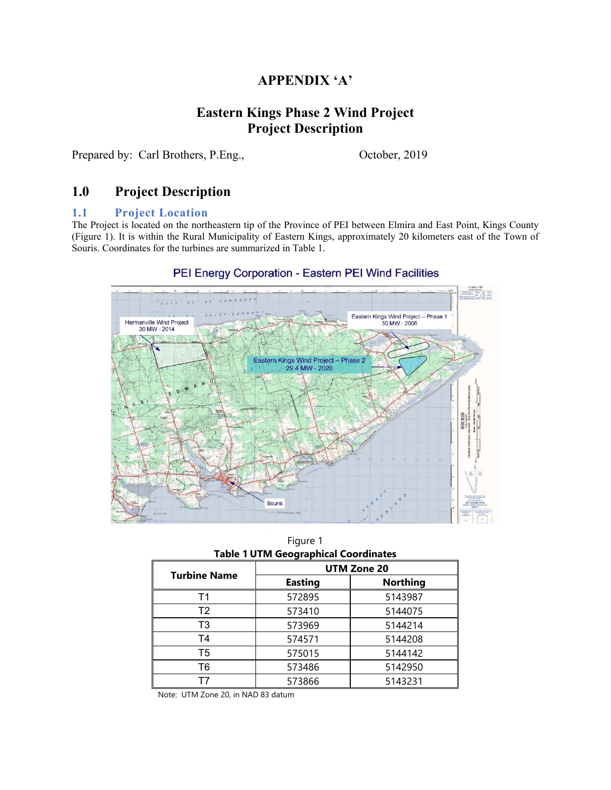# **APPENDIX 'A'**

# **Eastern Kings Phase 2 Wind Project Project Description**

Prepared by: Carl Brothers, P.Eng., October, 2019

# **1.0 Project Description**

#### **1.1 Project Location**

The Project is located on the northeastern tip of the Province of PEI between Elmira and East Point, Kings County (Figure 1). It is within the Rural Municipality of Eastern Kings, approximately 20 kilometers east of the Town of Souris. Coordinates for the turbines are summarized in Table 1.

#### PEI Energy Corporation - Eastern PEI Wind Facilities



Figure 1 **Table 1 UTM Geographical Coordinates** 

| <b>Turbine Name</b> | UTM Zone 20    |                 |  |
|---------------------|----------------|-----------------|--|
|                     | <b>Easting</b> | <b>Northing</b> |  |
| Τ1                  | 572895         | 5143987         |  |
| T <sub>2</sub>      | 573410         | 5144075         |  |
| T3                  | 573969         | 5144214         |  |
| T <sub>4</sub>      | 574571         | 5144208         |  |
| T5                  | 575015         | 5144142         |  |
| Т6                  | 573486         | 5142950         |  |
|                     | 573866         | 5143231         |  |

Note: UTM Zone 20, in NAD 83 datum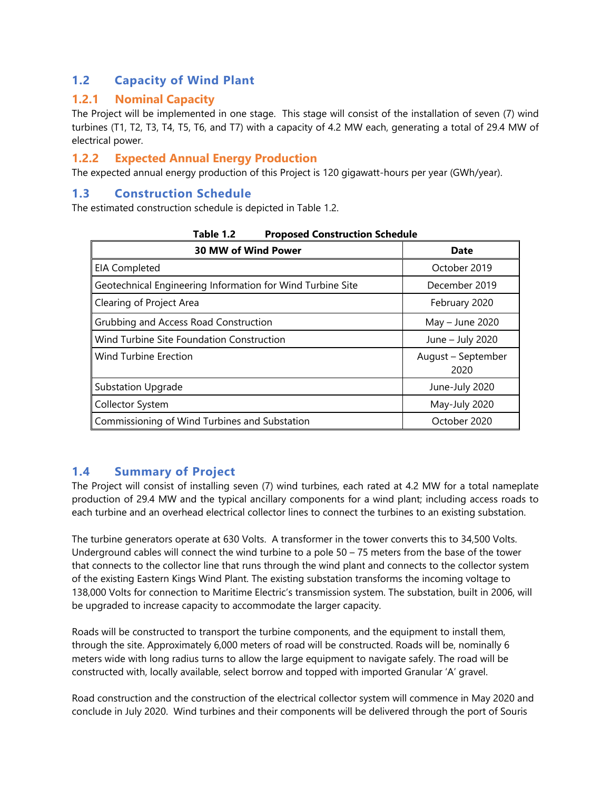# **1.2 Capacity of Wind Plant**

## **1.2.1 Nominal Capacity**

The Project will be implemented in one stage. This stage will consist of the installation of seven (7) wind turbines (T1, T2, T3, T4, T5, T6, and T7) with a capacity of 4.2 MW each, generating a total of 29.4 MW of electrical power.

## **1.2.2 Expected Annual Energy Production**

The expected annual energy production of this Project is 120 gigawatt-hours per year (GWh/year).

## **1.3 Construction Schedule**

The estimated construction schedule is depicted in Table 1.2.

| rapie r.z<br>Proposed Construction Schedule                |                            |  |  |  |
|------------------------------------------------------------|----------------------------|--|--|--|
| <b>30 MW of Wind Power</b>                                 | <b>Date</b>                |  |  |  |
| <b>EIA Completed</b>                                       | October 2019               |  |  |  |
| Geotechnical Engineering Information for Wind Turbine Site | December 2019              |  |  |  |
| Clearing of Project Area                                   | February 2020              |  |  |  |
| Grubbing and Access Road Construction                      | May - June 2020            |  |  |  |
| Wind Turbine Site Foundation Construction                  | June - July 2020           |  |  |  |
| <b>Wind Turbine Erection</b>                               | August – September<br>2020 |  |  |  |
| <b>Substation Upgrade</b>                                  | June-July 2020             |  |  |  |
| Collector System                                           | May-July 2020              |  |  |  |
| Commissioning of Wind Turbines and Substation              | October 2020               |  |  |  |

| Table 1.2 |  | <b>Proposed Construction Schedule</b> |  |
|-----------|--|---------------------------------------|--|
|-----------|--|---------------------------------------|--|

# **1.4 Summary of Project**

The Project will consist of installing seven (7) wind turbines, each rated at 4.2 MW for a total nameplate production of 29.4 MW and the typical ancillary components for a wind plant; including access roads to each turbine and an overhead electrical collector lines to connect the turbines to an existing substation.

The turbine generators operate at 630 Volts. A transformer in the tower converts this to 34,500 Volts. Underground cables will connect the wind turbine to a pole  $50 - 75$  meters from the base of the tower that connects to the collector line that runs through the wind plant and connects to the collector system of the existing Eastern Kings Wind Plant. The existing substation transforms the incoming voltage to 138,000 Volts for connection to Maritime Electric's transmission system. The substation, built in 2006, will be upgraded to increase capacity to accommodate the larger capacity.

Roads will be constructed to transport the turbine components, and the equipment to install them, through the site. Approximately 6,000 meters of road will be constructed. Roads will be, nominally 6 meters wide with long radius turns to allow the large equipment to navigate safely. The road will be constructed with, locally available, select borrow and topped with imported Granular 'A' gravel.

Road construction and the construction of the electrical collector system will commence in May 2020 and conclude in July 2020. Wind turbines and their components will be delivered through the port of Souris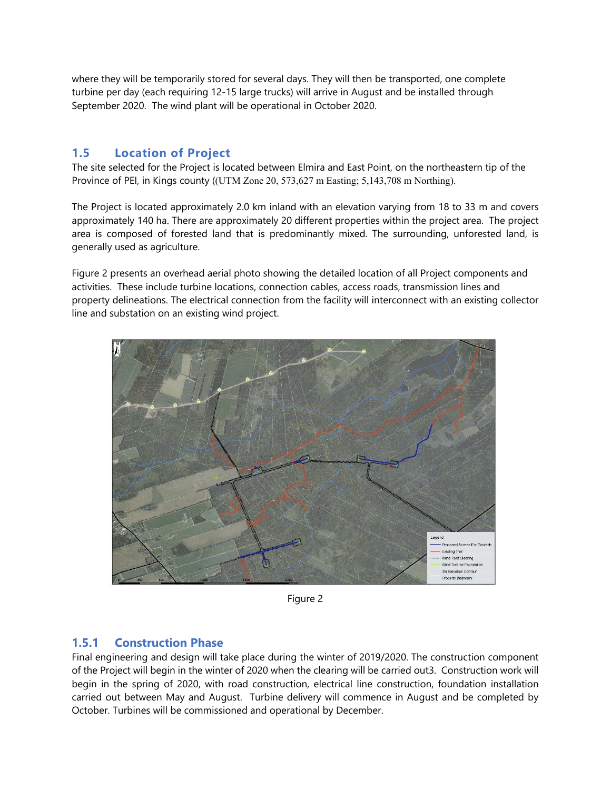where they will be temporarily stored for several days. They will then be transported, one complete turbine per day (each requiring 12-15 large trucks) will arrive in August and be installed through September 2020. The wind plant will be operational in October 2020.

## **1.5 Location of Project**

The site selected for the Project is located between Elmira and East Point, on the northeastern tip of the Province of PEI, in Kings county ((UTM Zone 20, 573,627 m Easting; 5,143,708 m Northing).

The Project is located approximately 2.0 km inland with an elevation varying from 18 to 33 m and covers approximately 140 ha. There are approximately 20 different properties within the project area. The project area is composed of forested land that is predominantly mixed. The surrounding, unforested land, is generally used as agriculture.

Figure 2 presents an overhead aerial photo showing the detailed location of all Project components and activities. These include turbine locations, connection cables, access roads, transmission lines and property delineations. The electrical connection from the facility will interconnect with an existing collector line and substation on an existing wind project.



Figure 2

## **1.5.1 Construction Phase**

Final engineering and design will take place during the winter of 2019/2020. The construction component of the Project will begin in the winter of 2020 when the clearing will be carried out3. Construction work will begin in the spring of 2020, with road construction, electrical line construction, foundation installation carried out between May and August. Turbine delivery will commence in August and be completed by October. Turbines will be commissioned and operational by December.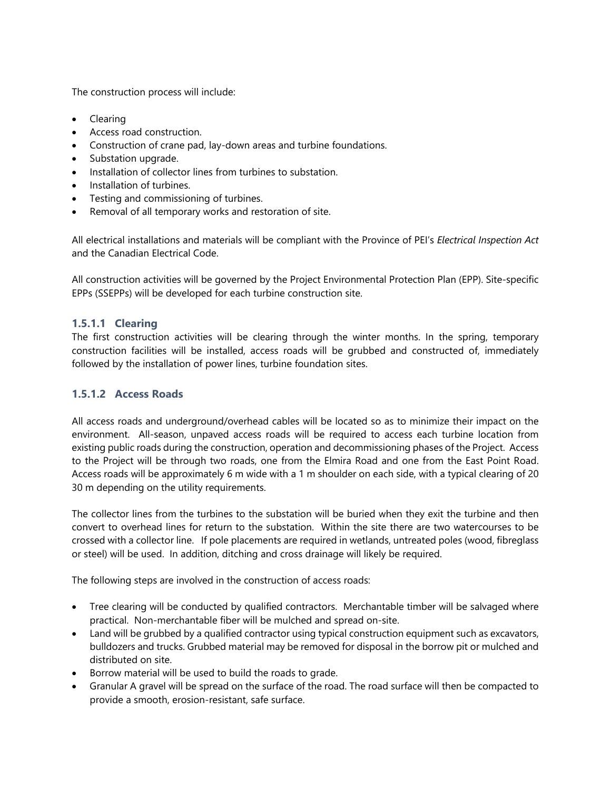The construction process will include:

- Clearing
- Access road construction.
- Construction of crane pad, lay-down areas and turbine foundations.
- Substation upgrade.
- Installation of collector lines from turbines to substation.
- Installation of turbines.
- **•** Testing and commissioning of turbines.
- Removal of all temporary works and restoration of site.

All electrical installations and materials will be compliant with the Province of PEI's *Electrical Inspection Act* and the Canadian Electrical Code.

All construction activities will be governed by the Project Environmental Protection Plan (EPP). Site-specific EPPs (SSEPPs) will be developed for each turbine construction site.

### **1.5.1.1 Clearing**

The first construction activities will be clearing through the winter months. In the spring, temporary construction facilities will be installed, access roads will be grubbed and constructed of, immediately followed by the installation of power lines, turbine foundation sites.

### **1.5.1.2 Access Roads**

All access roads and underground/overhead cables will be located so as to minimize their impact on the environment. All-season, unpaved access roads will be required to access each turbine location from existing public roads during the construction, operation and decommissioning phases of the Project. Access to the Project will be through two roads, one from the Elmira Road and one from the East Point Road. Access roads will be approximately 6 m wide with a 1 m shoulder on each side, with a typical clearing of 20 30 m depending on the utility requirements.

The collector lines from the turbines to the substation will be buried when they exit the turbine and then convert to overhead lines for return to the substation. Within the site there are two watercourses to be crossed with a collector line. If pole placements are required in wetlands, untreated poles (wood, fibreglass or steel) will be used. In addition, ditching and cross drainage will likely be required.

The following steps are involved in the construction of access roads:

- Tree clearing will be conducted by qualified contractors. Merchantable timber will be salvaged where practical. Non-merchantable fiber will be mulched and spread on-site.
- Land will be grubbed by a qualified contractor using typical construction equipment such as excavators, bulldozers and trucks. Grubbed material may be removed for disposal in the borrow pit or mulched and distributed on site.
- Borrow material will be used to build the roads to grade.
- Granular A gravel will be spread on the surface of the road. The road surface will then be compacted to provide a smooth, erosion-resistant, safe surface.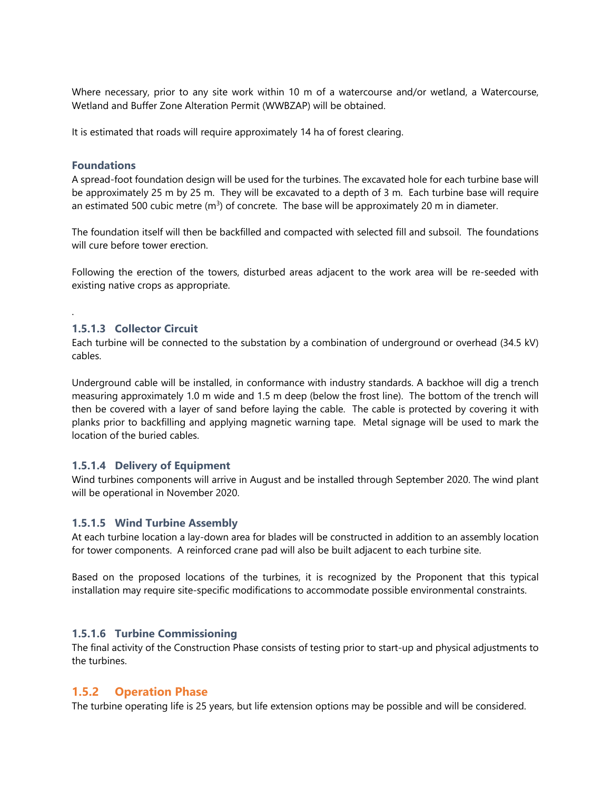Where necessary, prior to any site work within 10 m of a watercourse and/or wetland, a Watercourse, Wetland and Buffer Zone Alteration Permit (WWBZAP) will be obtained.

It is estimated that roads will require approximately 14 ha of forest clearing.

#### **Foundations**

.

A spread-foot foundation design will be used for the turbines. The excavated hole for each turbine base will be approximately 25 m by 25 m. They will be excavated to a depth of 3 m. Each turbine base will require an estimated 500 cubic metre  $(m<sup>3</sup>)$  of concrete. The base will be approximately 20 m in diameter.

The foundation itself will then be backfilled and compacted with selected fill and subsoil. The foundations will cure before tower erection.

Following the erection of the towers, disturbed areas adjacent to the work area will be re-seeded with existing native crops as appropriate.

#### **1.5.1.3 Collector Circuit**

Each turbine will be connected to the substation by a combination of underground or overhead (34.5 kV) cables.

Underground cable will be installed, in conformance with industry standards. A backhoe will dig a trench measuring approximately 1.0 m wide and 1.5 m deep (below the frost line). The bottom of the trench will then be covered with a layer of sand before laying the cable. The cable is protected by covering it with planks prior to backfilling and applying magnetic warning tape. Metal signage will be used to mark the location of the buried cables.

#### **1.5.1.4 Delivery of Equipment**

Wind turbines components will arrive in August and be installed through September 2020. The wind plant will be operational in November 2020.

#### **1.5.1.5 Wind Turbine Assembly**

At each turbine location a lay-down area for blades will be constructed in addition to an assembly location for tower components. A reinforced crane pad will also be built adjacent to each turbine site.

Based on the proposed locations of the turbines, it is recognized by the Proponent that this typical installation may require site-specific modifications to accommodate possible environmental constraints.

#### **1.5.1.6 Turbine Commissioning**

The final activity of the Construction Phase consists of testing prior to start-up and physical adjustments to the turbines.

#### **1.5.2 Operation Phase**

The turbine operating life is 25 years, but life extension options may be possible and will be considered.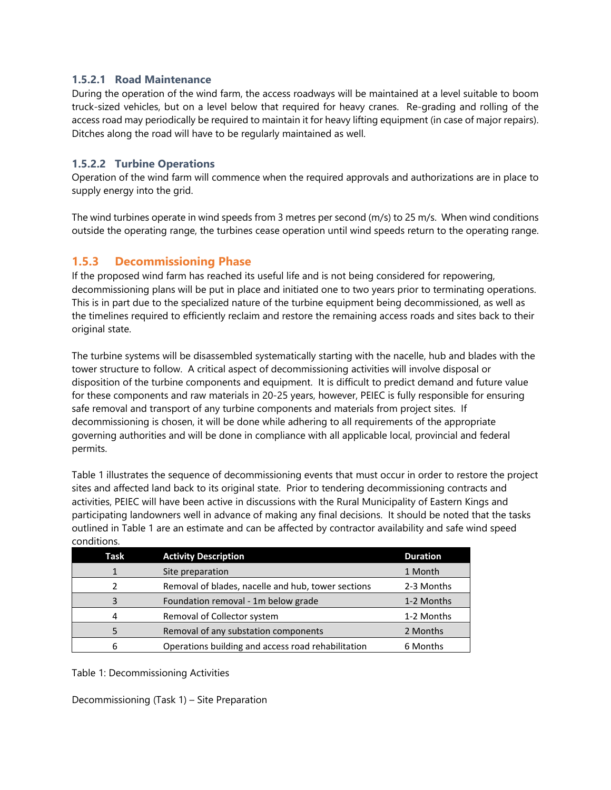### **1.5.2.1 Road Maintenance**

During the operation of the wind farm, the access roadways will be maintained at a level suitable to boom truck-sized vehicles, but on a level below that required for heavy cranes. Re-grading and rolling of the access road may periodically be required to maintain it for heavy lifting equipment (in case of major repairs). Ditches along the road will have to be regularly maintained as well.

### **1.5.2.2 Turbine Operations**

Operation of the wind farm will commence when the required approvals and authorizations are in place to supply energy into the grid.

The wind turbines operate in wind speeds from 3 metres per second (m/s) to 25 m/s. When wind conditions outside the operating range, the turbines cease operation until wind speeds return to the operating range.

## **1.5.3 Decommissioning Phase**

If the proposed wind farm has reached its useful life and is not being considered for repowering, decommissioning plans will be put in place and initiated one to two years prior to terminating operations. This is in part due to the specialized nature of the turbine equipment being decommissioned, as well as the timelines required to efficiently reclaim and restore the remaining access roads and sites back to their original state.

The turbine systems will be disassembled systematically starting with the nacelle, hub and blades with the tower structure to follow. A critical aspect of decommissioning activities will involve disposal or disposition of the turbine components and equipment. It is difficult to predict demand and future value for these components and raw materials in 20-25 years, however, PEIEC is fully responsible for ensuring safe removal and transport of any turbine components and materials from project sites. If decommissioning is chosen, it will be done while adhering to all requirements of the appropriate governing authorities and will be done in compliance with all applicable local, provincial and federal permits.

Table 1 illustrates the sequence of decommissioning events that must occur in order to restore the project sites and affected land back to its original state. Prior to tendering decommissioning contracts and activities, PEIEC will have been active in discussions with the Rural Municipality of Eastern Kings and participating landowners well in advance of making any final decisions. It should be noted that the tasks outlined in Table 1 are an estimate and can be affected by contractor availability and safe wind speed conditions.

| Task | <b>Activity Description</b>                        | <b>Duration</b> |
|------|----------------------------------------------------|-----------------|
|      | Site preparation                                   | 1 Month         |
| 2    | Removal of blades, nacelle and hub, tower sections | 2-3 Months      |
| 3    | Foundation removal - 1m below grade                | 1-2 Months      |
| 4    | Removal of Collector system                        | 1-2 Months      |
|      | Removal of any substation components               | 2 Months        |
| 6    | Operations building and access road rehabilitation | 6 Months        |

Table 1: Decommissioning Activities

Decommissioning (Task 1) – Site Preparation